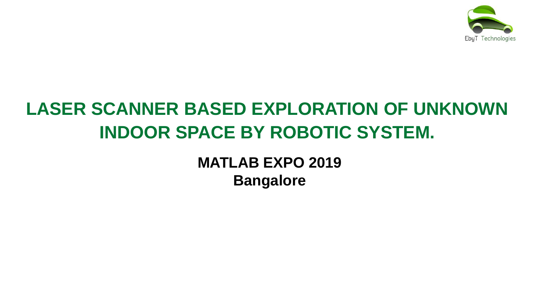

## **LASER SCANNER BASED EXPLORATION OF UNKNOWN INDOOR SPACE BY ROBOTIC SYSTEM.**

**MATLAB EXPO 2019 Bangalore**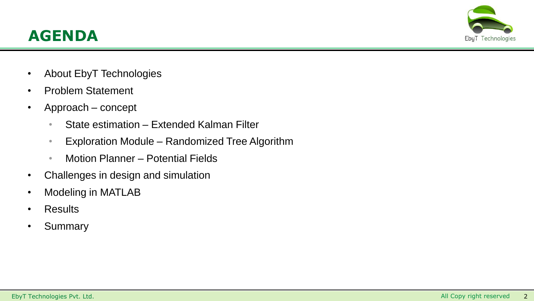



- About EbyT Technologies
- Problem Statement
- Approach concept
	- State estimation Extended Kalman Filter
	- Exploration Module Randomized Tree Algorithm
	- Motion Planner Potential Fields
- Challenges in design and simulation
- Modeling in MATLAB
- Results
- **Summary**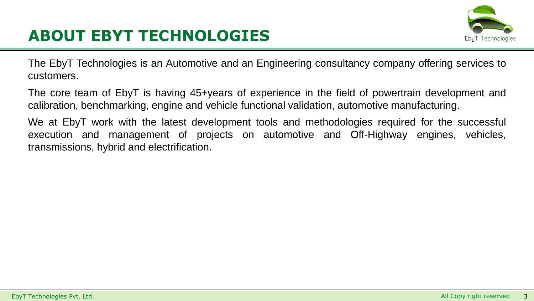

## **ABOUT EBYT TECHNOLOGIES**

The EbyT Technologies is an Automotive and an Engineering consultancy company offering services to customers.

The core team of EbyT is having 45+years of experience in the field of powertrain development and calibration, benchmarking, engine and vehicle functional validation, automotive manufacturing.

We at EbyT work with the latest development tools and methodologies required for the successful execution and management of projects on automotive and Off-Highway engines, vehicles, transmissions, hybrid and electrification.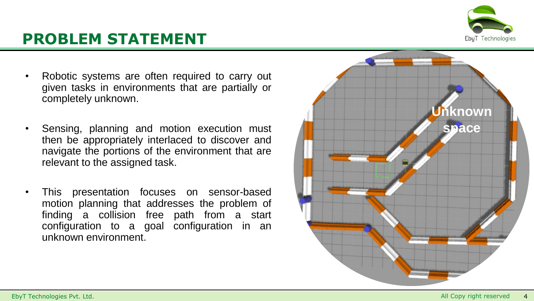

## **PROBLEM STATEMENT**

- Robotic systems are often required to carry out given tasks in environments that are partially or completely unknown.
- Sensing, planning and motion execution must then be appropriately interlaced to discover and navigate the portions of the environment that are relevant to the assigned task.
- This presentation focuses on sensor-based motion planning that addresses the problem of finding a collision free path from a start configuration to a goal configuration in an unknown environment.

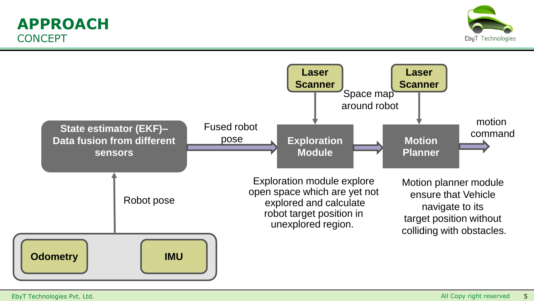### **APPROACH CONCEPT**



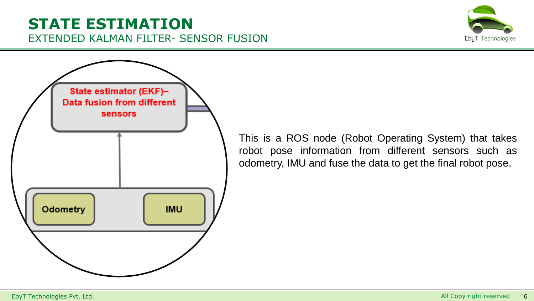### **STATE ESTIMATION** EXTENDED KALMAN FILTER- SENSOR FUSION





This is a ROS node (Robot Operating System) that takes robot pose information from different sensors such as odometry, IMU and fuse the data to get the final robot pose.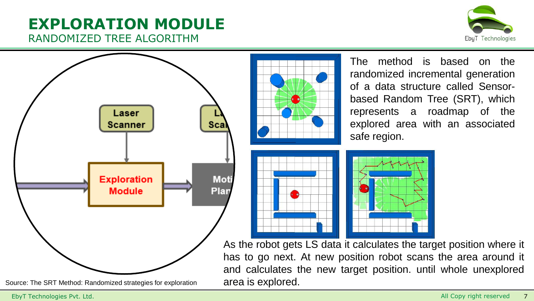#### **EXPLORATION MODULE** RANDOMIZED TREE ALGORITHM





The method is based on the randomized incremental generation of a data structure called Sensorbased Random Tree (SRT), which represents a roadmap of the explored area with an associated safe region.



As the robot gets LS data it calculates the target position where it has to go next. At new position robot scans the area around it and calculates the new target position. until whole unexplored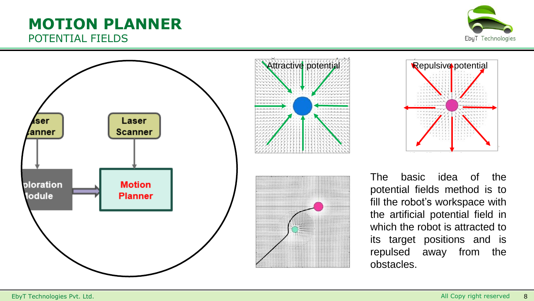# POTENTIAL FIELDS



**MOTION PLANNER**





The basic idea of the potential fields method is to fill the robot's workspace with the artificial potential field in which the robot is attracted to its target positions and is repulsed away from the obstacles.

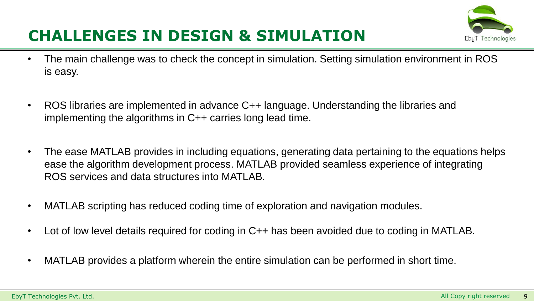## Ebul Technologie:

## **CHALLENGES IN DESIGN & SIMULATION**

- The main challenge was to check the concept in simulation. Setting simulation environment in ROS is easy.
- ROS libraries are implemented in advance C++ language. Understanding the libraries and implementing the algorithms in C++ carries long lead time.
- The ease MATLAB provides in including equations, generating data pertaining to the equations helps ease the algorithm development process. MATLAB provided seamless experience of integrating ROS services and data structures into MATLAB.
- MATLAB scripting has reduced coding time of exploration and navigation modules.
- Lot of low level details required for coding in C++ has been avoided due to coding in MATLAB.
- MATLAB provides a platform wherein the entire simulation can be performed in short time.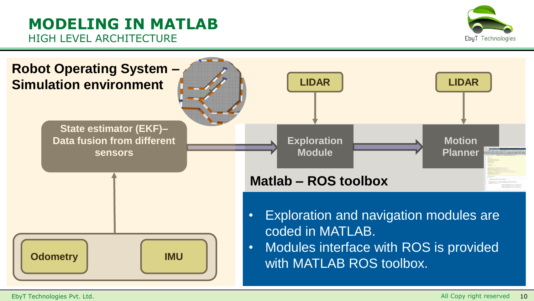### **MODELING IN MATLAB** HIGH LEVEL ARCHITECTURE



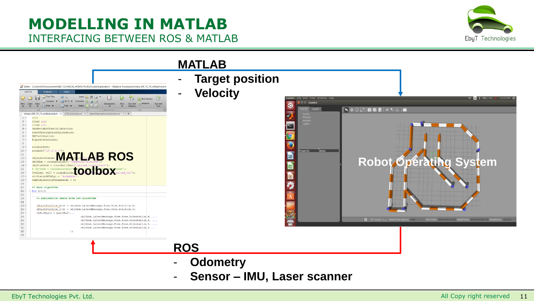### **MODELLING IN MATLAB** INTERFACING BETWEEN ROS & MATLAB





- **Sensor – IMU, Laser scanner**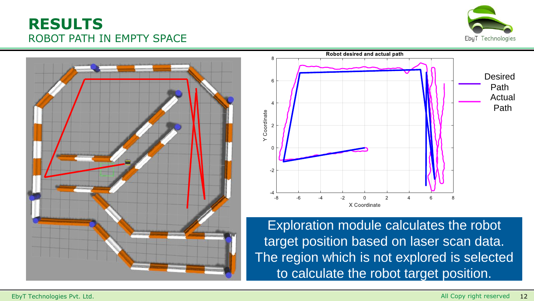#### **RESULTS** ROBOT PATH IN EMPTY SPACE







Exploration module calculates the robot target position based on laser scan data. The region which is not explored is selected to calculate the robot target position.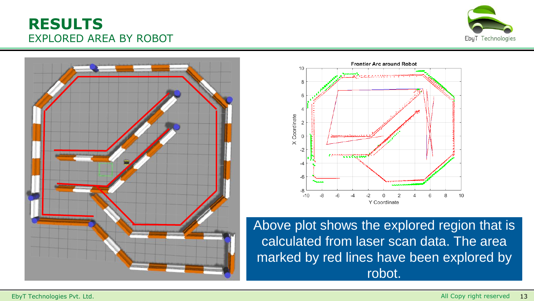#### **RESULTS** EXPLORED AREA BY ROBOT







Above plot shows the explored region that is calculated from laser scan data. The area marked by red lines have been explored by robot.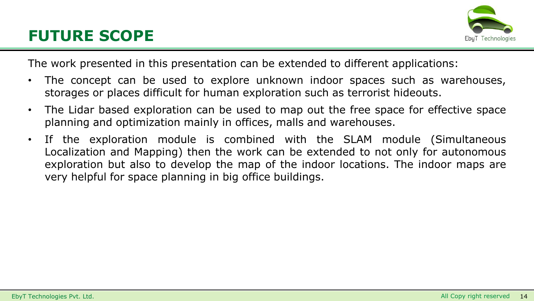

The work presented in this presentation can be extended to different applications:

- The concept can be used to explore unknown indoor spaces such as warehouses, storages or places difficult for human exploration such as terrorist hideouts.
- The Lidar based exploration can be used to map out the free space for effective space planning and optimization mainly in offices, malls and warehouses.
- If the exploration module is combined with the SLAM module (Simultaneous Localization and Mapping) then the work can be extended to not only for autonomous exploration but also to develop the map of the indoor locations. The indoor maps are very helpful for space planning in big office buildings.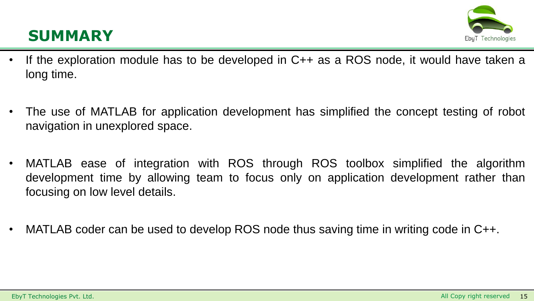## **SUMMARY**



- If the exploration module has to be developed in C++ as a ROS node, it would have taken a long time.
- The use of MATLAB for application development has simplified the concept testing of robot navigation in unexplored space.
- MATLAB ease of integration with ROS through ROS toolbox simplified the algorithm development time by allowing team to focus only on application development rather than focusing on low level details.
- MATLAB coder can be used to develop ROS node thus saving time in writing code in C++.